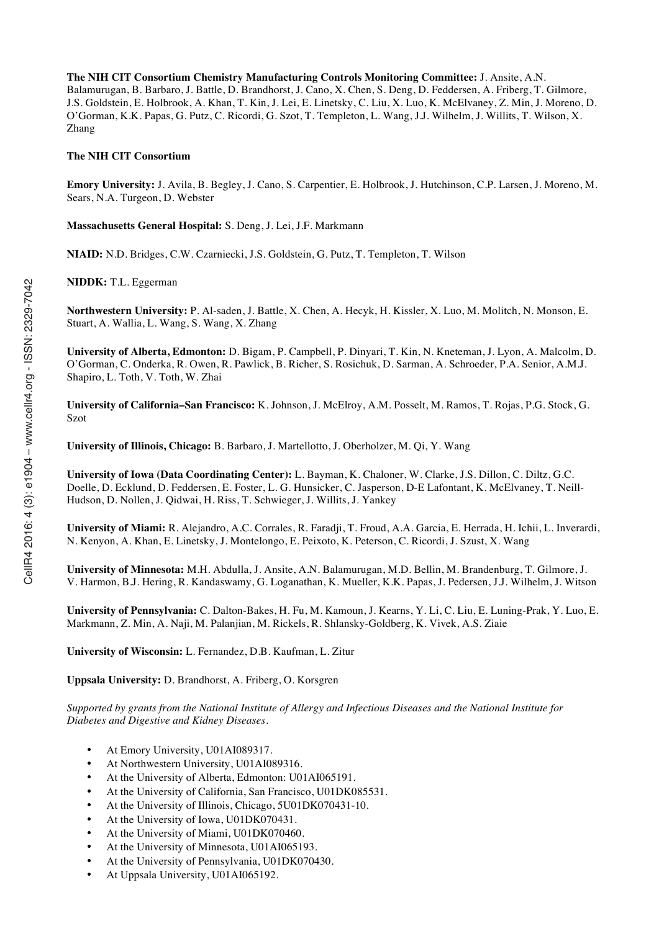**The NIH CIT Consortium Chemistry Manufacturing Controls Monitoring Committee:** J. Ansite, A.N. Balamurugan, B. Barbaro, J. Battle, D. Brandhorst, J. Cano, X. Chen, S. Deng, D. Feddersen, A. Friberg, T. Gilmore, J.S. Goldstein, E. Holbrook, A. Khan, T. Kin, J. Lei, E. Linetsky, C. Liu, X. Luo, K. McElvaney, Z. Min, J. Moreno, D. O'Gorman, K.K. Papas, G. Putz, C. Ricordi, G. Szot, T. Templeton, L. Wang, J.J. Wilhelm, J. Willits, T. Wilson, X. Zhang

# **The NIH CIT Consortium**

**Emory University:** J. Avila, B. Begley, J. Cano, S. Carpentier, E. Holbrook, J. Hutchinson, C.P. Larsen, J. Moreno, M. Sears, N.A. Turgeon, D. Webster

**Massachusetts General Hospital:** S. Deng, J. Lei, J.F. Markmann

**NIAID:** N.D. Bridges, C.W. Czarniecki, J.S. Goldstein, G. Putz, T. Templeton, T. Wilson

**NIDDK:** T.L. Eggerman

**Northwestern University:** P. Al-saden, J. Battle, X. Chen, A. Hecyk, H. Kissler, X. Luo, M. Molitch, N. Monson, E. Stuart, A. Wallia, L. Wang, S. Wang, X. Zhang

**University of Alberta, Edmonton:** D. Bigam, P. Campbell, P. Dinyari, T. Kin, N. Kneteman, J. Lyon, A. Malcolm, D. O'Gorman, C. Onderka, R. Owen, R. Pawlick, B. Richer, S. Rosichuk, D. Sarman, A. Schroeder, P.A. Senior, A.M.J. Shapiro, L. Toth, V. Toth, W. Zhai

**University of California–San Francisco:** K. Johnson, J. McElroy, A.M. Posselt, M. Ramos, T. Rojas, P.G. Stock, G. Szot

**University of Illinois, Chicago:** B. Barbaro, J. Martellotto, J. Oberholzer, M. Qi, Y. Wang

**University of Iowa (Data Coordinating Center):** L. Bayman, K. Chaloner, W. Clarke, J.S. Dillon, C. Diltz, G.C. Doelle, D. Ecklund, D. Feddersen, E. Foster, L. G. Hunsicker, C. Jasperson, D-E Lafontant, K. McElvaney, T. Neill-Hudson, D. Nollen, J. Qidwai, H. Riss, T. Schwieger, J. Willits, J. Yankey

**University of Miami:** R. Alejandro, A.C. Corrales, R. Faradji, T. Froud, A.A. Garcia, E. Herrada, H. Ichii, L. Inverardi, N. Kenyon, A. Khan, E. Linetsky, J. Montelongo, E. Peixoto, K. Peterson, C. Ricordi, J. Szust, X. Wang

**University of Minnesota:** M.H. Abdulla, J. Ansite, A.N. Balamurugan, M.D. Bellin, M. Brandenburg, T. Gilmore, J. V. Harmon, B.J. Hering, R. Kandaswamy, G. Loganathan, K. Mueller, K.K. Papas, J. Pedersen, J.J. Wilhelm, J. Witson

**University of Pennsylvania:** C. Dalton-Bakes, H. Fu, M. Kamoun, J. Kearns, Y. Li, C. Liu, E. Luning-Prak, Y. Luo, E. Markmann, Z. Min, A. Naji, M. Palanjian, M. Rickels, R. Shlansky-Goldberg, K. Vivek, A.S. Ziaie

**University of Wisconsin:** L. Fernandez, D.B. Kaufman, L. Zitur

**Uppsala University:** D. Brandhorst, A. Friberg, O. Korsgren

*Supported by grants from the National Institute of Allergy and Infectious Diseases and the National Institute for Diabetes and Digestive and Kidney Diseases.*

- At Emory University, U01AI089317.
- At Northwestern University, U01AI089316.
- At the University of Alberta, Edmonton: U01AI065191.
- At the University of California, San Francisco, U01DK085531.
- At the University of Illinois, Chicago, 5U01DK070431-10.
- At the University of Iowa, U01DK070431.
- At the University of Miami, U01DK070460.
- At the University of Minnesota, U01AI065193.
- At the University of Pennsylvania, U01DK070430.
- At Uppsala University, U01AI065192.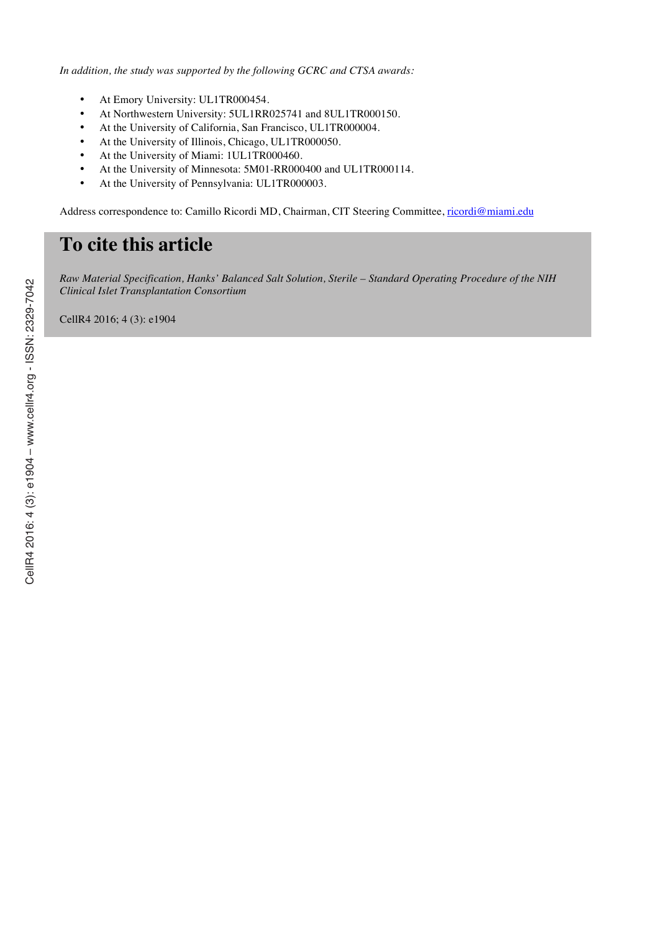*In addition, the study was supported by the following GCRC and CTSA awards:*

- At Emory University: UL1TR000454.
- At Northwestern University: 5UL1RR025741 and 8UL1TR000150.
- At the University of California, San Francisco, UL1TR000004.
- At the University of Illinois, Chicago, UL1TR000050.
- At the University of Miami: 1UL1TR000460.
- At the University of Minnesota: 5M01-RR000400 and UL1TR000114.
- At the University of Pennsylvania: UL1TR000003.

Address correspondence to: Camillo Ricordi MD, Chairman, CIT Steering Committee, ricordi@miami.edu

# **To cite this article**

*Raw Material Specification, Hanks' Balanced Salt Solution, Sterile – Standard Operating Procedure of the NIH Clinical Islet Transplantation Consortium*

CellR4 2016; 4 (3): e1904